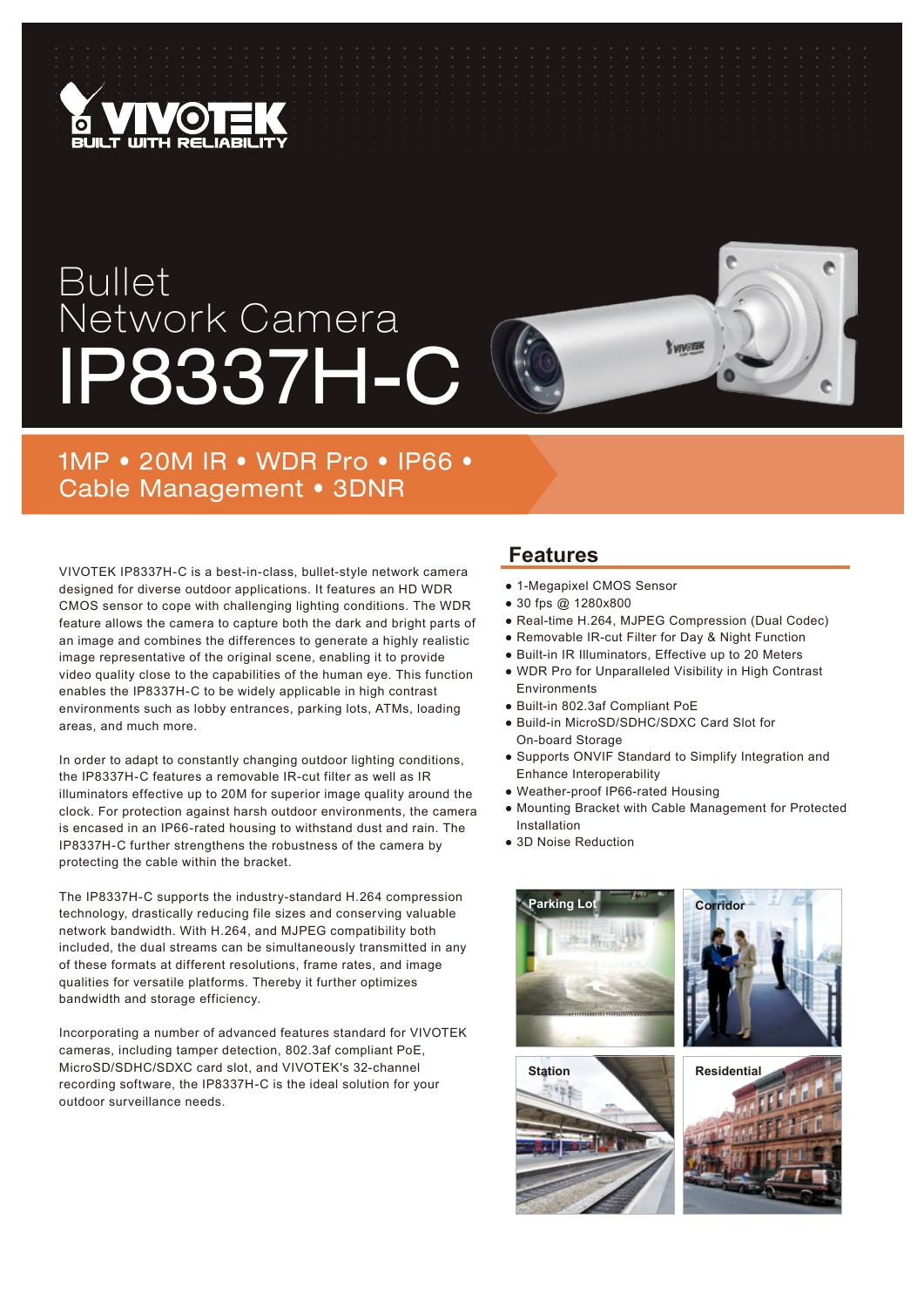

## Bullet Network Camera IP8337H-C



VIVOTEK IP8337H-C is a best-in-class, bullet-style network camera designed for diverse outdoor applications. It features an HD WDR CMOS sensor to cope with challenging lighting conditions. The WDR feature allows the camera to capture both the dark and bright parts of an image and combines the differences to generate a highly realistic image representative of the original scene, enabling it to provide video quality close to the capabilities of the human eye. This function enables the IP8337H-C to be widely applicable in high contrast environments such as lobby entrances, parking lots, ATMs, loading areas, and much more.

In order to adapt to constantly changing outdoor lighting conditions, the IP8337H-C features a removable IR-cut filter as well as IR illuminators effective up to 20M for superior image quality around the clock. For protection against harsh outdoor environments, the camera is encased in an IP66-rated housing to withstand dust and rain. The IP8337H-C further strengthens the robustness of the camera by protecting the cable within the bracket.

The IP8337H-C supports the industry-standard H.264 compression technology, drastically reducing file sizes and conserving valuable network bandwidth. With H.264, and MJPEG compatibility both included, the dual streams can be simultaneously transmitted in any of these formats at different resolutions, frame rates, and image qualities for versatile platforms. Thereby it further optimizes bandwidth and storage efficiency.

Incorporating a number of advanced features standard for VIVOTEK cameras, including tamper detection, 802.3af compliant PoE, MicroSD/SDHC/SDXC card slot, and VIVOTEK's 32-channel recording software, the IP8337H-C is the ideal solution for your outdoor surveillance needs.

## **Features**

- 1-Megapixel CMOS Sensor
- 30 fps @ 1280x800
- Real-time H.264, MJPEG Compression (Dual Codec)

**Y VIVOTE** 

- Removable IR-cut Filter for Day & Night Function
- Built-in IR Illuminators, Effective up to 20 Meters
- WDR Pro for Unparalleled Visibility in High Contrast Environments
- Built-in 802.3af Compliant PoE
- Build-in MicroSD/SDHC/SDXC Card Slot for On-board Storage
- Supports ONVIF Standard to Simplify Integration and Enhance Interoperability
- Weather-proof IP66-rated Housing
- Mounting Bracket with Cable Management for Protected Installation
- 3D Noise Reduction